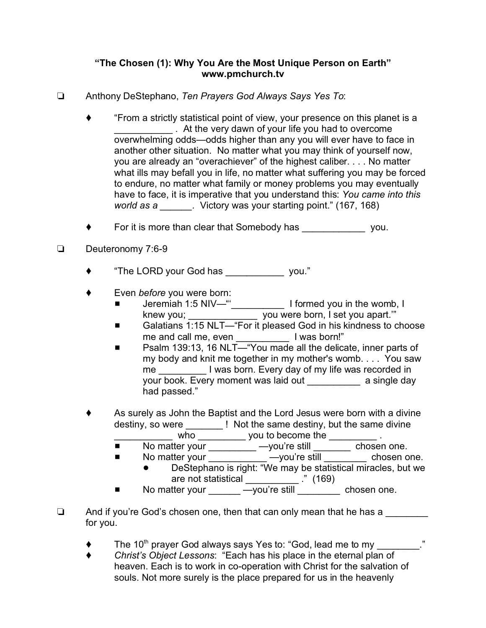## **"The Chosen (1): Why You Are the Most Unique Person on Earth" www.pmchurch.tv**

- Anthony DeStephano, *Ten Prayers God Always Says Yes To*:
	- "From a strictly statistical point of view, your presence on this planet is a . At the very dawn of your life you had to overcome overwhelming odds—odds higher than any you will ever have to face in another other situation. No matter what you may think of yourself now, you are already an "overachiever" of the highest caliber. . . . No matter what ills may befall you in life, no matter what suffering you may be forced to endure, no matter what family or money problems you may eventually have to face, it is imperative that you understand this: *You came into this world as a \_\_\_\_\_\_.* Victory was your starting point." (167, 168)
	- For it is more than clear that Somebody has you.
- Deuteronomy 7:6-9
	- "The LORD your God has \_\_\_\_\_\_\_\_\_\_\_ you."
	- Even *before* you were born:
		- Jeremiah 1:5 NIV—"'\_\_\_\_\_\_\_\_\_\_ I formed you in the womb, I knew you; \_\_\_\_\_\_\_\_\_\_\_\_\_\_\_ you were born, I set you apart."
		- Galatians 1:15 NLT—"For it pleased God in his kindness to choose me and call me, even **with all assets in the and call me**, even
		- Psalm 139:13, 16 NLT— "You made all the delicate, inner parts of my body and knit me together in my mother's womb. . . . You saw me **I** was born. Every day of my life was recorded in your book. Every moment was laid out \_\_\_\_\_\_\_\_\_\_ a single day had passed."
	- As surely as John the Baptist and the Lord Jesus were born with a divine destiny, so were **Exercise 1.** Not the same destiny, but the same divine who who you to become the  $\qquad \qquad$ .
		- No matter your \_\_\_\_\_\_\_\_\_ —you're still \_\_\_\_\_\_\_ chosen one.
		- No matter your \_\_\_\_\_\_\_\_\_\_\_\_ —you're still \_\_\_\_\_\_\_\_\_ chosen one. ! DeStephano is right: "We may be statistical miracles, but we
			- are not statistical \_\_\_\_\_\_\_\_\_\_ ." (169)
		- No matter your \_\_\_\_\_\_\_ —you're still \_\_\_\_\_\_\_\_ chosen one.
- $\Box$  And if you're God's chosen one, then that can only mean that he has a for you.
	- $\blacklozenge$  The 10<sup>th</sup> prayer God always says Yes to: "God, lead me to my  $\ldots$ "
	- *Christ's Object Lessons*: "Each has his place in the eternal plan of heaven. Each is to work in co-operation with Christ for the salvation of souls. Not more surely is the place prepared for us in the heavenly